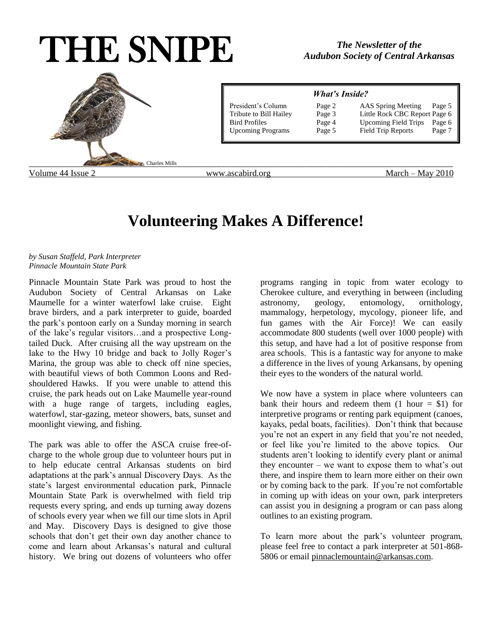# THE SNIPE



# **Volunteering Makes A Difference!**

## *by Susan Staffeld, Park Interpreter Pinnacle Mountain State Park*

Pinnacle Mountain State Park was proud to host the Audubon Society of Central Arkansas on Lake Maumelle for a winter waterfowl lake cruise. Eight brave birders, and a park interpreter to guide, boarded the park's pontoon early on a Sunday morning in search of the lake's regular visitors…and a prospective Longtailed Duck. After cruising all the way upstream on the lake to the Hwy 10 bridge and back to Jolly Roger's Marina, the group was able to check off nine species, with beautiful views of both Common Loons and Redshouldered Hawks. If you were unable to attend this cruise, the park heads out on Lake Maumelle year-round with a huge range of targets, including eagles, waterfowl, star-gazing, meteor showers, bats, sunset and moonlight viewing, and fishing.

The park was able to offer the ASCA cruise free-ofcharge to the whole group due to volunteer hours put in to help educate central Arkansas students on bird adaptations at the park's annual Discovery Days. As the state's largest environmental education park, Pinnacle Mountain State Park is overwhelmed with field trip requests every spring, and ends up turning away dozens of schools every year when we fill our time slots in April and May. Discovery Days is designed to give those schools that don't get their own day another chance to come and learn about Arkansas's natural and cultural history. We bring out dozens of volunteers who offer

programs ranging in topic from water ecology to Cherokee culture, and everything in between (including astronomy, geology, entomology, ornithology, mammalogy, herpetology, mycology, pioneer life, and fun games with the Air Force)! We can easily accommodate 800 students (well over 1000 people) with this setup, and have had a lot of positive response from area schools. This is a fantastic way for anyone to make a difference in the lives of young Arkansans, by opening their eyes to the wonders of the natural world.

We now have a system in place where volunteers can bank their hours and redeem them  $(1 \text{ hour} = $1)$  for interpretive programs or renting park equipment (canoes, kayaks, pedal boats, facilities). Don't think that because you're not an expert in any field that you're not needed, or feel like you're limited to the above topics. Our students aren't looking to identify every plant or animal they encounter – we want to expose them to what's out there, and inspire them to learn more either on their own or by coming back to the park. If you're not comfortable in coming up with ideas on your own, park interpreters can assist you in designing a program or can pass along outlines to an existing program.

To learn more about the park's volunteer program, please feel free to contact a park interpreter at 501-868 5806 or email [pinnaclemountain@arkansas.com.](mailto:pinnaclemountain@arkansas.com)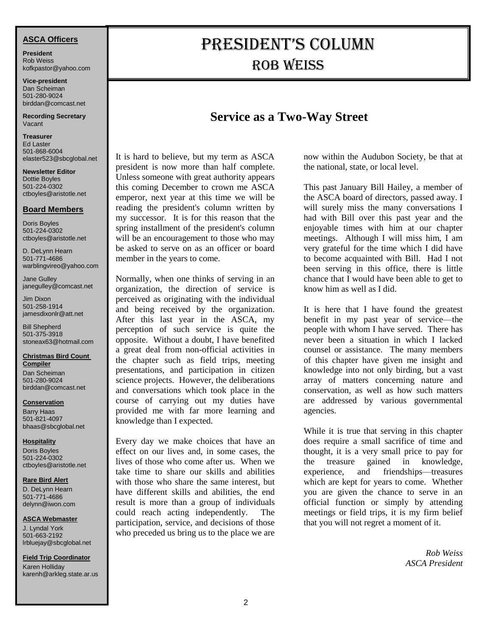# **ASCA Officers**

**President** Rob Weiss kofkpastor@yahoo.com

**Vice-president** Dan Scheiman 501-280-9024 [birddan@comcast.net](mailto:birddan@comcast.net)

**Recording Secretary** Vacant

**Treasurer** Ed Laster 501-868-6004 [elaster523@sbcglobal.net](mailto:elaster523@sbcglobal.net)

**Newsletter Editor** Dottie Boyles 501-224-0302 [ctboyles@aristotle.net](mailto:ctboyles@aristotle.net)

## **Board Members**

Doris Boyles 501-224-0302 [ctboyles@aristotle.net](mailto:ctboyles@aristotle.net)

D. DeLynn Hearn 501-771-4686 warblingvireo@yahoo.com

Jane Gulley janegulley@comcast.net

Jim Dixon 501-258-1914 jamesdixonlr@att.net

Bill Shepherd 501-375-3918 stoneax63@hotmail.com

#### **Christmas Bird Count Compiler**

Dan Scheiman 501-280-9024 [birddan@comcast.net](mailto:birddan@comcast.net)

#### **Conservation**

Barry Haas 501-821-4097 [bhaas@sbcglobal.net](mailto:bhaas@sbcglobal.net)

#### **Hospitality**

Doris Boyles 501-224-0302 [ctboyles@aristotle.net](mailto:ctboyles@aristotle.net)

#### **Rare Bird Alert**

D. DeLynn Hearn 501-771-4686 [delynn@iwon.com](mailto:delynn@iwon.com)

#### **ASCA Webmaster**

J. Lyndal York 501-663-2192 [lrbluejay@sbcglobal.net](mailto:lrbluejay@sbcglobal.net)

**Field Trip Coordinator** Karen Holliday [karenh@arkleg.state.ar.us](mailto:karenh@arkleg.state.ar.us)

# President's Column **ROB WEISS**

# **Service as a Two-Way Street**

It is hard to believe, but my term as ASCA president is now more than half complete. Unless someone with great authority appears this coming December to crown me ASCA emperor, next year at this time we will be reading the president's column written by my successor. It is for this reason that the spring installment of the president's column will be an encouragement to those who may be asked to serve on as an officer or board member in the years to come.

Normally, when one thinks of serving in an organization, the direction of service is perceived as originating with the individual and being received by the organization. After this last year in the ASCA, my perception of such service is quite the opposite. Without a doubt, I have benefited a great deal from non-official activities in the chapter such as field trips, meeting presentations, and participation in citizen science projects. However, the deliberations and conversations which took place in the course of carrying out my duties have provided me with far more learning and knowledge than I expected.

Every day we make choices that have an effect on our lives and, in some cases, the lives of those who come after us. When we take time to share our skills and abilities with those who share the same interest, but have different skills and abilities, the end result is more than a group of individuals could reach acting independently. The participation, service, and decisions of those who preceded us bring us to the place we are

now within the Audubon Society, be that at the national, state, or local level.

This past January Bill Hailey, a member of the ASCA board of directors, passed away. I will surely miss the many conversations I had with Bill over this past year and the enjoyable times with him at our chapter meetings. Although I will miss him, I am very grateful for the time which I did have to become acquainted with Bill. Had I not been serving in this office, there is little chance that I would have been able to get to know him as well as I did.

It is here that I have found the greatest benefit in my past year of service—the people with whom I have served. There has never been a situation in which I lacked counsel or assistance. The many members of this chapter have given me insight and knowledge into not only birding, but a vast array of matters concerning nature and conservation, as well as how such matters are addressed by various governmental agencies.

While it is true that serving in this chapter does require a small sacrifice of time and thought, it is a very small price to pay for the treasure gained in knowledge, experience, and friendships—treasures which are kept for years to come. Whether you are given the chance to serve in an official function or simply by attending meetings or field trips, it is my firm belief that you will not regret a moment of it.

> *Rob Weiss ASCA President*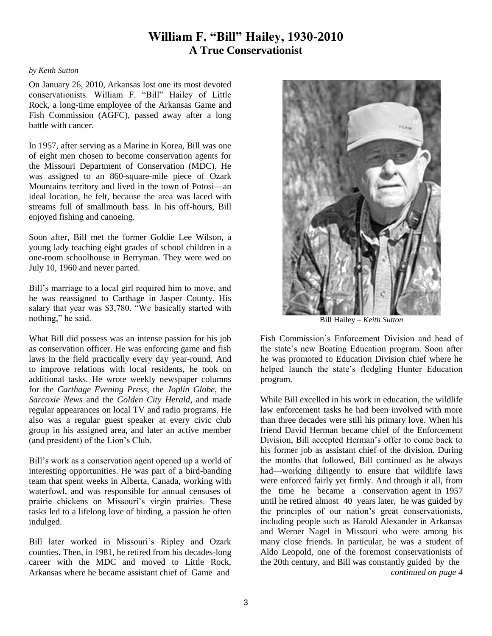# **William F. "Bill" Hailey, 1930-2010 A True Conservationist**

#### *by Keith Sutton*

On January 26, 2010, Arkansas lost one its most devoted conservationists. William F. "Bill" Hailey of Little Rock, a long-time employee of the Arkansas Game and Fish Commission (AGFC), passed away after a long battle with cancer.

In 1957, after serving as a Marine in Korea, Bill was one of eight men chosen to become conservation agents for the Missouri Department of Conservation (MDC). He was assigned to an 860-square-mile piece of Ozark Mountains territory and lived in the town of Potosi—an ideal location, he felt, because the area was laced with streams full of smallmouth bass. In his off-hours, Bill enjoyed fishing and canoeing.

Soon after, Bill met the former Goldie Lee Wilson, a young lady teaching eight grades of school children in a one-room schoolhouse in Berryman. They were wed on July 10, 1960 and never parted.

Bill's marriage to a local girl required him to move, and he was reassigned to Carthage in Jasper County. His salary that year was \$3,780. "We basically started with nothing," he said.

What Bill did possess was an intense passion for his job as conservation officer. He was enforcing game and fish laws in the field practically every day year-round. And to improve relations with local residents, he took on additional tasks. He wrote weekly newspaper columns for the *Carthage Evening Press*, the *Joplin Globe*, the *Sarcoxie News* and the *Golden City Herald*, and made regular appearances on local TV and radio programs. He also was a regular guest speaker at every civic club group in his assigned area, and later an active member (and president) of the Lion's Club.

Bill's work as a conservation agent opened up a world of interesting opportunities. He was part of a bird-banding team that spent weeks in Alberta, Canada, working with waterfowl, and was responsible for annual censuses of prairie chickens on Missouri's virgin prairies. These tasks led to a lifelong love of birding, a passion he often indulged.

Bill later worked in Missouri's Ripley and Ozark counties. Then, in 1981, he retired from his decades-long career with the MDC and moved to Little Rock, Arkansas where he became assistant chief of Game and



Bill Hailey – *Keith Sutton*

Fish Commission's Enforcement Division and head of the state's new Boating Education program. Soon after he was promoted to Education Division chief where he helped launch the state's fledgling Hunter Education program.

While Bill excelled in his work in education, the wildlife law enforcement tasks he had been involved with more than three decades were still his primary love. When his friend David Herman became chief of the Enforcement Division, Bill accepted Herman's offer to come back to his former job as assistant chief of the division. During the months that followed, Bill continued as he always had—working diligently to ensure that wildlife laws were enforced fairly yet firmly. And through it all, from the time he became a conservation agent in 1957 until he retired almost 40 years later, he was guided by the principles of our nation's great conservationists, including people such as Harold Alexander in Arkansas and Werner Nagel in Missouri who were among his many close friends. In particular, he was a student of Aldo Leopold, one of the foremost conservationists of the 20th century, and Bill was constantly guided by the *continued on page 4*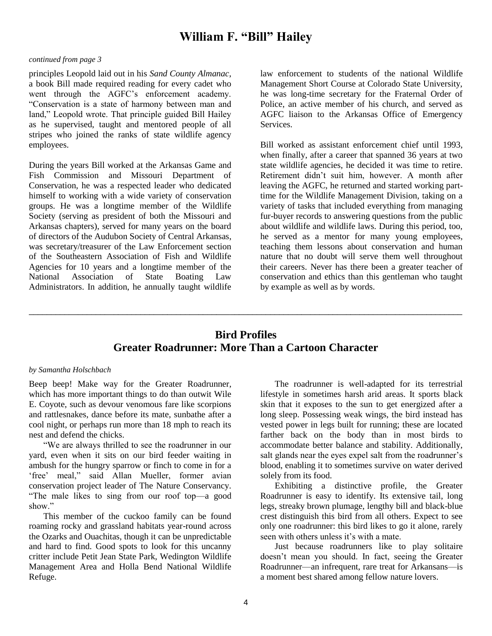# **William F. "Bill" Hailey**

#### *continued from page 3*

principles Leopold laid out in his *Sand County Almanac*, a book Bill made required reading for every cadet who went through the AGFC's enforcement academy. "Conservation is a state of harmony between man and land," Leopold wrote. That principle guided Bill Hailey as he supervised, taught and mentored people of all stripes who joined the ranks of state wildlife agency employees.

During the years Bill worked at the Arkansas Game and Fish Commission and Missouri Department of Conservation, he was a respected leader who dedicated himself to working with a wide variety of conservation groups. He was a longtime member of the Wildlife Society (serving as president of both the Missouri and Arkansas chapters), served for many years on the board of directors of the Audubon Society of Central Arkansas, was secretary/treasurer of the Law Enforcement section of the Southeastern Association of Fish and Wildlife Agencies for 10 years and a longtime member of the National Association of State Boating Law Administrators. In addition, he annually taught wildlife

law enforcement to students of the national Wildlife Management Short Course at Colorado State University, he was long-time secretary for the Fraternal Order of Police, an active member of his church, and served as AGFC liaison to the Arkansas Office of Emergency Services.

Bill worked as assistant enforcement chief until 1993, when finally, after a career that spanned 36 years at two state wildlife agencies, he decided it was time to retire. Retirement didn't suit him, however. A month after leaving the AGFC, he returned and started working parttime for the Wildlife Management Division, taking on a variety of tasks that included everything from managing fur-buyer records to answering questions from the public about wildlife and wildlife laws. During this period, too, he served as a mentor for many young employees, teaching them lessons about conservation and human nature that no doubt will serve them well throughout their careers. Never has there been a greater teacher of conservation and ethics than this gentleman who taught by example as well as by words.

# **Bird Profiles Greater Roadrunner: More Than a Cartoon Character**

\_\_\_\_\_\_\_\_\_\_\_\_\_\_\_\_\_\_\_\_\_\_\_\_\_\_\_\_\_\_\_\_\_\_\_\_\_\_\_\_\_\_\_\_\_\_\_\_\_\_\_\_\_\_\_\_\_\_\_\_\_\_\_\_\_\_\_\_\_\_\_\_\_\_\_\_\_\_\_\_\_\_\_\_\_\_\_\_\_\_\_\_\_\_\_\_\_

#### *by Samantha Holschbach*

Beep beep! Make way for the Greater Roadrunner, which has more important things to do than outwit Wile E. Coyote, such as devour venomous fare like scorpions and rattlesnakes, dance before its mate, sunbathe after a cool night, or perhaps run more than 18 mph to reach its nest and defend the chicks.

"We are always thrilled to see the roadrunner in our yard, even when it sits on our bird feeder waiting in ambush for the hungry sparrow or finch to come in for a 'free' meal," said Allan Mueller, former avian conservation project leader of The Nature Conservancy. "The male likes to sing from our roof top—a good show"

This member of the cuckoo family can be found roaming rocky and grassland habitats year-round across the Ozarks and Ouachitas, though it can be unpredictable and hard to find. Good spots to look for this uncanny critter include Petit Jean State Park, Wedington Wildlife Management Area and Holla Bend National Wildlife Refuge.

The roadrunner is well-adapted for its terrestrial lifestyle in sometimes harsh arid areas. It sports black skin that it exposes to the sun to get energized after a long sleep. Possessing weak wings, the bird instead has vested power in legs built for running; these are located farther back on the body than in most birds to accommodate better balance and stability. Additionally, salt glands near the eyes expel salt from the roadrunner's blood, enabling it to sometimes survive on water derived solely from its food.

Exhibiting a distinctive profile, the Greater Roadrunner is easy to identify. Its extensive tail, long legs, streaky brown plumage, lengthy bill and black-blue crest distinguish this bird from all others. Expect to see only one roadrunner: this bird likes to go it alone, rarely seen with others unless it's with a mate.

Just because roadrunners like to play solitaire doesn't mean you should. In fact, seeing the Greater Roadrunner—an infrequent, rare treat for Arkansans—is a moment best shared among fellow nature lovers.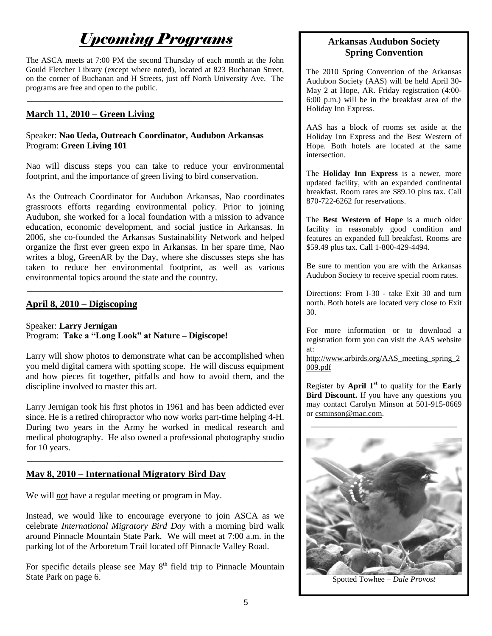# *Upcoming Programs*

The ASCA meets at 7:00 PM the second Thursday of each month at the John Gould Fletcher Library (except where noted), located at 823 Buchanan Street, on the corner of Buchanan and H Streets, just off North University Ave. The programs are free and open to the public.

\_\_\_\_\_\_\_\_\_\_\_\_\_\_\_\_\_\_\_\_\_\_\_\_\_\_\_\_\_\_\_\_\_\_\_\_\_\_\_\_\_\_\_\_\_\_\_\_\_\_\_\_\_\_\_\_\_\_

# **March 11, 2010 – Green Living**

# Speaker: **Nao Ueda, Outreach Coordinator, Audubon Arkansas** Program: **Green Living 101**

Nao will discuss steps you can take to reduce your environmental footprint, and the importance of green living to bird conservation.

As the Outreach Coordinator for Audubon Arkansas, Nao coordinates grassroots efforts regarding environmental policy. Prior to joining Audubon, she worked for a local foundation with a mission to advance education, economic development, and social justice in Arkansas. In 2006, she co-founded the Arkansas Sustainability Network and helped organize the first ever green expo in Arkansas. In her spare time, Nao writes a blog, GreenAR by the Day, where she discusses steps she has taken to reduce her environmental footprint, as well as various environmental topics around the state and the country. \_\_\_\_\_\_\_\_\_\_\_\_\_\_\_\_\_\_\_\_\_\_\_\_\_\_\_\_\_\_\_\_\_\_\_\_\_\_\_\_\_\_\_\_\_\_\_\_\_\_\_\_\_\_\_\_\_\_

# **April 8, 2010 – Digiscoping**

Speaker: **Larry Jernigan** Program: **Take a "Long Look" at Nature – Digiscope!**

Larry will show photos to demonstrate what can be accomplished when you meld digital camera with spotting scope. He will discuss equipment and how pieces fit together, pitfalls and how to avoid them, and the discipline involved to master this art.

Larry Jernigan took his first photos in 1961 and has been addicted ever since. He is a retired chiropractor who now works part-time helping 4-H. During two years in the Army he worked in medical research and medical photography. He also owned a professional photography studio for 10 years.

\_\_\_\_\_\_\_\_\_\_\_\_\_\_\_\_\_\_\_\_\_\_\_\_\_\_\_\_\_\_\_\_\_\_\_\_\_\_\_\_\_\_\_\_\_\_\_\_\_\_\_\_\_\_\_\_\_\_

# **May 8, 2010 – International Migratory Bird Day**

We will *not* have a regular meeting or program in May.

Instead, we would like to encourage everyone to join ASCA as we celebrate *International Migratory Bird Day* with a morning bird walk around Pinnacle Mountain State Park. We will meet at 7:00 a.m. in the parking lot of the Arboretum Trail located off Pinnacle Valley Road.

For specific details please see May  $8<sup>th</sup>$  field trip to Pinnacle Mountain State Park on page 6.

# **Arkansas Audubon Society Spring Convention**

The 2010 Spring Convention of the Arkansas Audubon Society (AAS) will be held April 30- May 2 at Hope, AR. Friday registration (4:00- 6:00 p.m.) will be in the breakfast area of the Holiday Inn Express.

AAS has a block of rooms set aside at the Holiday Inn Express and the Best Western of Hope. Both hotels are located at the same intersection.

The **Holiday Inn Express** is a newer, more updated facility, with an expanded continental breakfast. Room rates are \$89.10 plus tax. Call 870-722-6262 for reservations.

The **Best Western of Hope** is a much older facility in reasonably good condition and features an expanded full breakfast. Rooms are \$59.49 plus tax. Call 1-800-429-4494.

Be sure to mention you are with the Arkansas Audubon Society to receive special room rates.

Directions: From I-30 - take Exit 30 and turn north. Both hotels are located very close to Exit 30.

For more information or to download a registration form you can visit the AAS website at:

[http://www.arbirds.org/AAS\\_meeting\\_spring\\_2](http://www.arbirds.org/AAS_meeting_spring_2009.pdf) [009.pdf](http://www.arbirds.org/AAS_meeting_spring_2009.pdf)

Register by **April 1st** to qualify for the **Early Bird Discount.** If you have any questions you may contact Carolyn Minson at 501-915-0669 or [csminson@mac.com.](mailto:csminson@mac.com)

\_\_\_\_\_\_\_\_\_\_\_\_\_\_\_\_\_\_\_\_\_\_\_\_\_\_\_\_\_\_\_\_\_



Spotted Towhee – *Dale Provost*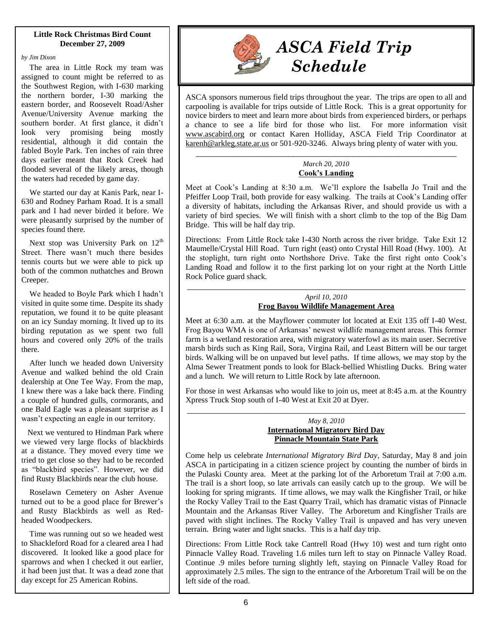#### **Little Rock Christmas Bird Count December 27, 2009**

*by Jim Dixon*

 The area in Little Rock my team was assigned to count might be referred to as the Southwest Region, with I-630 marking the northern border, I-30 marking the eastern border, and Roosevelt Road/Asher Avenue/University Avenue marking the southern border. At first glance, it didn't look very promising being mostly residential, although it did contain the fabled Boyle Park. Ten inches of rain three days earlier meant that Rock Creek had flooded several of the likely areas, though the waters had receded by game day.

 We started our day at Kanis Park, near I-630 and Rodney Parham Road. It is a small park and I had never birded it before. We were pleasantly surprised by the number of species found there.

Next stop was University Park on 12<sup>th</sup> Street. There wasn't much there besides tennis courts but we were able to pick up both of the common nuthatches and Brown Creeper.

 We headed to Boyle Park which I hadn't visited in quite some time. Despite its shady reputation, we found it to be quite pleasant on an icy Sunday morning. It lived up to its birding reputation as we spent two full hours and covered only 20% of the trails there.

 After lunch we headed down University Avenue and walked behind the old Crain dealership at One Tee Way. From the map, I knew there was a lake back there. Finding a couple of hundred gulls, cormorants, and one Bald Eagle was a pleasant surprise as I wasn't expecting an eagle in our territory.

 Next we ventured to Hindman Park where we viewed very large flocks of blackbirds at a distance. They moved every time we tried to get close so they had to be recorded as "blackbird species". However, we did find Rusty Blackbirds near the club house.

 Roselawn Cemetery on Asher Avenue turned out to be a good place for Brewer's and Rusty Blackbirds as well as Redheaded Woodpeckers.

 Time was running out so we headed west to Shackleford Road for a cleared area I had discovered. It looked like a good place for sparrows and when I checked it out earlier, it had been just that. It was a dead zone that day except for 25 American Robins.



# *ASCA Field Trip Schedule*

ASCA sponsors numerous field trips throughout the year. The trips are open to all and carpooling is available for trips outside of Little Rock. This is a great opportunity for novice birders to meet and learn more about birds from experienced birders, or perhaps a chance to see a life bird for those who list. For more information visit [www.ascabird.org](http://www.ascabird.org/) or contact Karen Holliday, ASCA Field Trip Coordinator at [karenh@arkleg.state.ar.us](mailto:karenh@arkleg.state.ar.us) or 501-920-3246. Always bring plenty of water with you.

## \_\_\_\_\_\_\_\_\_\_\_\_\_\_\_\_\_\_\_\_\_\_\_\_\_\_\_\_\_\_\_\_\_\_\_\_\_\_\_\_\_\_\_\_\_\_\_\_\_\_\_\_\_\_\_\_\_\_\_ *March 20, 2010* **Cook's Landing**

Meet at Cook's Landing at 8:30 a.m. We'll explore the Isabella Jo Trail and the Pfeiffer Loop Trail, both provide for easy walking. The trails at Cook's Landing offer a diversity of habitats, including the Arkansas River, and should provide us with a variety of bird species. We will finish with a short climb to the top of the Big Dam Bridge. This will be half day trip.

Directions: From Little Rock take I-430 North across the river bridge. Take Exit 12 Maumelle/Crystal Hill Road. Turn right (east) onto Crystal Hill Road (Hwy. 100). At the stoplight, turn right onto Northshore Drive. Take the first right onto Cook's Landing Road and follow it to the first parking lot on your right at the North Little Rock Police guard shack.

# \_\_\_\_\_\_\_\_\_\_\_\_\_\_\_\_\_\_\_\_\_\_\_\_\_\_\_\_\_\_\_\_\_\_\_\_\_\_\_\_\_\_\_\_\_\_\_\_\_\_\_\_\_\_\_\_\_\_\_\_\_\_\_ *April 10, 2010* **Frog Bayou Wildlife Management Area**

Meet at 6:30 a.m. at the Mayflower commuter lot located at Exit 135 off I-40 West. Frog Bayou WMA is one of Arkansas' newest wildlife management areas. This former farm is a wetland restoration area, with migratory waterfowl as its main user. Secretive marsh birds such as King Rail, Sora, Virgina Rail, and Least Bittern will be our target birds. Walking will be on unpaved but level paths. If time allows, we may stop by the Alma Sewer Treatment ponds to look for Black-bellied Whistling Ducks. Bring water and a lunch. We will return to Little Rock by late afternoon.

For those in west Arkansas who would like to join us, meet at 8:45 a.m. at the Kountry Xpress Truck Stop south of I-40 West at Exit 20 at Dyer. \_\_\_\_\_\_\_\_\_\_\_\_\_\_\_\_\_\_\_\_\_\_\_\_\_\_\_\_\_\_\_\_\_\_\_\_\_\_\_\_\_\_\_\_\_\_\_\_\_\_\_\_\_\_\_\_\_\_\_\_\_\_\_

#### *May 8, 2010* **International Migratory Bird Day Pinnacle Mountain State Park**

Come help us celebrate *International Migratory Bird Day*, Saturday, May 8 and join ASCA in participating in a citizen science project by counting the number of birds in the Pulaski County area. Meet at the parking lot of the Arboretum Trail at 7:00 a.m. The trail is a short loop, so late arrivals can easily catch up to the group. We will be looking for spring migrants. If time allows, we may walk the Kingfisher Trail, or hike the Rocky Valley Trail to the East Quarry Trail, which has dramatic vistas of Pinnacle Mountain and the Arkansas River Valley. The Arboretum and Kingfisher Trails are paved with slight inclines. The Rocky Valley Trail is unpaved and has very uneven terrain. Bring water and light snacks. This is a half day trip.

Directions: From Little Rock take Cantrell Road (Hwy 10) west and turn right onto Pinnacle Valley Road. Traveling 1.6 miles turn left to stay on Pinnacle Valley Road. Continue .9 miles before turning slightly left, staying on Pinnacle Valley Road for approximately 2.5 miles. The sign to the entrance of the Arboretum Trail will be on the left side of the road.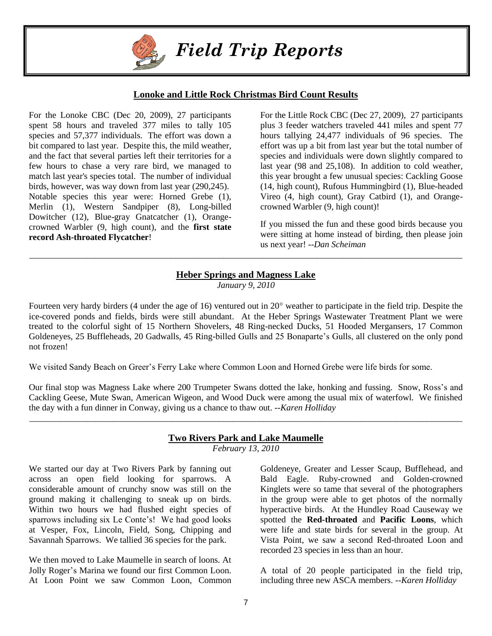

# *Field Trip Reports*

# **Lonoke and Little Rock Christmas Bird Count Results**

For the Lonoke CBC (Dec 20, 2009), 27 participants spent 58 hours and traveled 377 miles to tally 105 species and 57,377 individuals. The effort was down a bit compared to last year. Despite this, the mild weather, and the fact that several parties left their territories for a few hours to chase a very rare bird, we managed to match last year's species total. The number of individual birds, however, was way down from last year (290,245). Notable species this year were: Horned Grebe (1), Merlin (1), Western Sandpiper (8), Long-billed Dowitcher (12), Blue-gray Gnatcatcher (1), Orangecrowned Warbler (9, high count), and the **first state record Ash-throated Flycatcher**!

For the Little Rock CBC (Dec 27, 2009), 27 participants plus 3 feeder watchers traveled 441 miles and spent 77 hours tallying 24,477 individuals of 96 species. The effort was up a bit from last year but the total number of species and individuals were down slightly compared to last year (98 and 25,108). In addition to cold weather, this year brought a few unusual species: Cackling Goose (14, high count), Rufous Hummingbird (1), Blue-headed Vireo (4, high count), Gray Catbird (1), and Orangecrowned Warbler (9, high count)!

If you missed the fun and these good birds because you were sitting at home instead of birding, then please join us next year! --*Dan Scheiman*

# **Heber Springs and Magness Lake**

\_\_\_\_\_\_\_\_\_\_\_\_\_\_\_\_\_\_\_\_\_\_\_\_\_\_\_\_\_\_\_\_\_\_\_\_\_\_\_\_\_\_\_\_\_\_\_\_\_\_\_\_\_\_\_\_\_\_\_\_\_\_\_\_\_\_\_\_\_\_\_\_\_\_\_\_\_\_\_\_\_\_\_\_\_\_\_\_\_\_\_\_\_\_\_\_\_\_

*January 9, 2010*

Fourteen very hardy birders (4 under the age of 16) ventured out in 20° weather to participate in the field trip. Despite the ice-covered ponds and fields, birds were still abundant. At the Heber Springs Wastewater Treatment Plant we were treated to the colorful sight of 15 Northern Shovelers, 48 Ring-necked Ducks, 51 Hooded Mergansers, 17 Common Goldeneyes, 25 Buffleheads, 20 Gadwalls, 45 Ring-billed Gulls and 25 Bonaparte's Gulls, all clustered on the only pond not frozen!

We visited Sandy Beach on Greer's Ferry Lake where Common Loon and Horned Grebe were life birds for some.

Our final stop was Magness Lake where 200 Trumpeter Swans dotted the lake, honking and fussing. Snow, Ross's and Cackling Geese, Mute Swan, American Wigeon, and Wood Duck were among the usual mix of waterfowl. We finished the day with a fun dinner in Conway, giving us a chance to thaw out. *--Karen Holliday*

# **Two Rivers Park and Lake Maumelle**

\_\_\_\_\_\_\_\_\_\_\_\_\_\_\_\_\_\_\_\_\_\_\_\_\_\_\_\_\_\_\_\_\_\_\_\_\_\_\_\_\_\_\_\_\_\_\_\_\_\_\_\_\_\_\_\_\_\_\_\_\_\_\_\_\_\_\_\_\_\_\_\_\_\_\_\_\_\_\_\_\_\_\_\_\_\_\_\_\_\_\_\_\_\_\_\_\_\_

*February 13, 2010*

We started our day at Two Rivers Park by fanning out across an open field looking for sparrows. A considerable amount of crunchy snow was still on the ground making it challenging to sneak up on birds. Within two hours we had flushed eight species of sparrows including six Le Conte's! We had good looks at Vesper, Fox, Lincoln, Field, Song, Chipping and Savannah Sparrows. We tallied 36 species for the park.

We then moved to Lake Maumelle in search of loons. At Jolly Roger's Marina we found our first Common Loon. At Loon Point we saw Common Loon, Common Goldeneye, Greater and Lesser Scaup, Bufflehead, and Bald Eagle. Ruby-crowned and Golden-crowned Kinglets were so tame that several of the photographers in the group were able to get photos of the normally hyperactive birds. At the Hundley Road Causeway we spotted the **Red-throated** and **Pacific Loons**, which were life and state birds for several in the group. At Vista Point, we saw a second Red-throated Loon and recorded 23 species in less than an hour.

A total of 20 people participated in the field trip, including three new ASCA members. *--Karen Holliday*